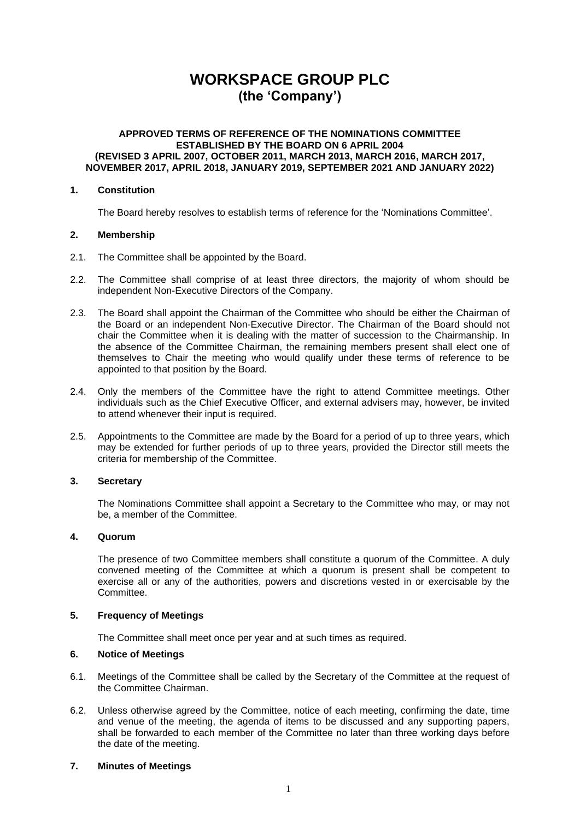# **WORKSPACE GROUP PLC (the 'Company')**

#### **APPROVED TERMS OF REFERENCE OF THE NOMINATIONS COMMITTEE ESTABLISHED BY THE BOARD ON 6 APRIL 2004 (REVISED 3 APRIL 2007, OCTOBER 2011, MARCH 2013, MARCH 2016, MARCH 2017, NOVEMBER 2017, APRIL 2018, JANUARY 2019, SEPTEMBER 2021 AND JANUARY 2022)**

## **1. Constitution**

The Board hereby resolves to establish terms of reference for the 'Nominations Committee'.

## **2. Membership**

- 2.1. The Committee shall be appointed by the Board.
- 2.2. The Committee shall comprise of at least three directors, the majority of whom should be independent Non-Executive Directors of the Company.
- 2.3. The Board shall appoint the Chairman of the Committee who should be either the Chairman of the Board or an independent Non-Executive Director. The Chairman of the Board should not chair the Committee when it is dealing with the matter of succession to the Chairmanship. In the absence of the Committee Chairman, the remaining members present shall elect one of themselves to Chair the meeting who would qualify under these terms of reference to be appointed to that position by the Board.
- 2.4. Only the members of the Committee have the right to attend Committee meetings. Other individuals such as the Chief Executive Officer, and external advisers may, however, be invited to attend whenever their input is required.
- 2.5. Appointments to the Committee are made by the Board for a period of up to three years, which may be extended for further periods of up to three years, provided the Director still meets the criteria for membership of the Committee.

# **3. Secretary**

The Nominations Committee shall appoint a Secretary to the Committee who may, or may not be, a member of the Committee.

## **4. Quorum**

The presence of two Committee members shall constitute a quorum of the Committee. A duly convened meeting of the Committee at which a quorum is present shall be competent to exercise all or any of the authorities, powers and discretions vested in or exercisable by the Committee.

#### **5. Frequency of Meetings**

The Committee shall meet once per year and at such times as required.

## **6. Notice of Meetings**

- 6.1. Meetings of the Committee shall be called by the Secretary of the Committee at the request of the Committee Chairman.
- 6.2. Unless otherwise agreed by the Committee, notice of each meeting, confirming the date, time and venue of the meeting, the agenda of items to be discussed and any supporting papers, shall be forwarded to each member of the Committee no later than three working days before the date of the meeting.

# **7. Minutes of Meetings**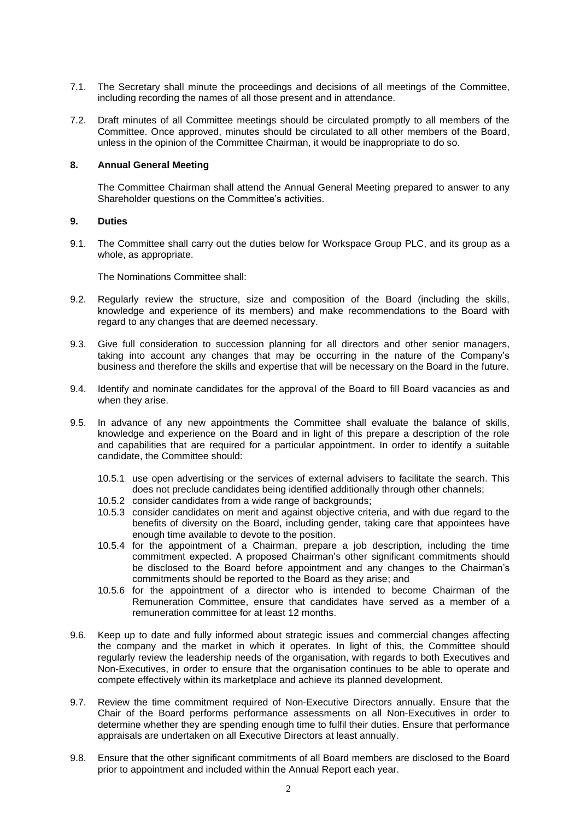- 7.1. The Secretary shall minute the proceedings and decisions of all meetings of the Committee, including recording the names of all those present and in attendance.
- 7.2. Draft minutes of all Committee meetings should be circulated promptly to all members of the Committee. Once approved, minutes should be circulated to all other members of the Board, unless in the opinion of the Committee Chairman, it would be inappropriate to do so.

## **8. Annual General Meeting**

The Committee Chairman shall attend the Annual General Meeting prepared to answer to any Shareholder questions on the Committee's activities.

#### **9. Duties**

9.1. The Committee shall carry out the duties below for Workspace Group PLC, and its group as a whole, as appropriate.

The Nominations Committee shall:

- 9.2. Regularly review the structure, size and composition of the Board (including the skills, knowledge and experience of its members) and make recommendations to the Board with regard to any changes that are deemed necessary.
- 9.3. Give full consideration to succession planning for all directors and other senior managers, taking into account any changes that may be occurring in the nature of the Company's business and therefore the skills and expertise that will be necessary on the Board in the future.
- 9.4. Identify and nominate candidates for the approval of the Board to fill Board vacancies as and when they arise.
- 9.5. In advance of any new appointments the Committee shall evaluate the balance of skills, knowledge and experience on the Board and in light of this prepare a description of the role and capabilities that are required for a particular appointment. In order to identify a suitable candidate, the Committee should:
	- 10.5.1 use open advertising or the services of external advisers to facilitate the search. This does not preclude candidates being identified additionally through other channels;
	- 10.5.2 consider candidates from a wide range of backgrounds;
	- 10.5.3 consider candidates on merit and against objective criteria, and with due regard to the benefits of diversity on the Board, including gender, taking care that appointees have enough time available to devote to the position.
	- 10.5.4 for the appointment of a Chairman, prepare a job description, including the time commitment expected. A proposed Chairman's other significant commitments should be disclosed to the Board before appointment and any changes to the Chairman's commitments should be reported to the Board as they arise; and
	- 10.5.6 for the appointment of a director who is intended to become Chairman of the Remuneration Committee, ensure that candidates have served as a member of a remuneration committee for at least 12 months.
- 9.6. Keep up to date and fully informed about strategic issues and commercial changes affecting the company and the market in which it operates. In light of this, the Committee should regularly review the leadership needs of the organisation, with regards to both Executives and Non-Executives, in order to ensure that the organisation continues to be able to operate and compete effectively within its marketplace and achieve its planned development.
- 9.7. Review the time commitment required of Non-Executive Directors annually. Ensure that the Chair of the Board performs performance assessments on all Non-Executives in order to determine whether they are spending enough time to fulfil their duties. Ensure that performance appraisals are undertaken on all Executive Directors at least annually.
- 9.8. Ensure that the other significant commitments of all Board members are disclosed to the Board prior to appointment and included within the Annual Report each year.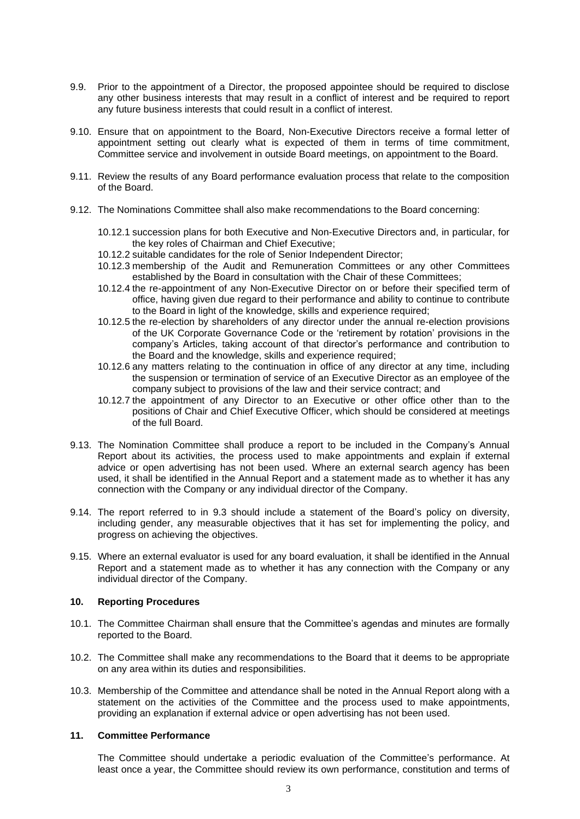- 9.9. Prior to the appointment of a Director, the proposed appointee should be required to disclose any other business interests that may result in a conflict of interest and be required to report any future business interests that could result in a conflict of interest.
- 9.10. Ensure that on appointment to the Board, Non-Executive Directors receive a formal letter of appointment setting out clearly what is expected of them in terms of time commitment, Committee service and involvement in outside Board meetings, on appointment to the Board.
- 9.11. Review the results of any Board performance evaluation process that relate to the composition of the Board.
- 9.12. The Nominations Committee shall also make recommendations to the Board concerning:
	- 10.12.1 succession plans for both Executive and Non-Executive Directors and, in particular, for the key roles of Chairman and Chief Executive;
	- 10.12.2 suitable candidates for the role of Senior Independent Director;
	- 10.12.3 membership of the Audit and Remuneration Committees or any other Committees established by the Board in consultation with the Chair of these Committees;
	- 10.12.4 the re-appointment of any Non-Executive Director on or before their specified term of office, having given due regard to their performance and ability to continue to contribute to the Board in light of the knowledge, skills and experience required;
	- 10.12.5 the re-election by shareholders of any director under the annual re-election provisions of the UK Corporate Governance Code or the 'retirement by rotation' provisions in the company's Articles, taking account of that director's performance and contribution to the Board and the knowledge, skills and experience required;
	- 10.12.6 any matters relating to the continuation in office of any director at any time, including the suspension or termination of service of an Executive Director as an employee of the company subject to provisions of the law and their service contract; and
	- 10.12.7 the appointment of any Director to an Executive or other office other than to the positions of Chair and Chief Executive Officer, which should be considered at meetings of the full Board.
- 9.13. The Nomination Committee shall produce a report to be included in the Company's Annual Report about its activities, the process used to make appointments and explain if external advice or open advertising has not been used. Where an external search agency has been used, it shall be identified in the Annual Report and a statement made as to whether it has any connection with the Company or any individual director of the Company.
- 9.14. The report referred to in 9.3 should include a statement of the Board's policy on diversity, including gender, any measurable objectives that it has set for implementing the policy, and progress on achieving the objectives.
- 9.15. Where an external evaluator is used for any board evaluation, it shall be identified in the Annual Report and a statement made as to whether it has any connection with the Company or any individual director of the Company.

## **10. Reporting Procedures**

- 10.1. The Committee Chairman shall ensure that the Committee's agendas and minutes are formally reported to the Board.
- 10.2. The Committee shall make any recommendations to the Board that it deems to be appropriate on any area within its duties and responsibilities.
- 10.3. Membership of the Committee and attendance shall be noted in the Annual Report along with a statement on the activities of the Committee and the process used to make appointments, providing an explanation if external advice or open advertising has not been used.

#### **11. Committee Performance**

The Committee should undertake a periodic evaluation of the Committee's performance. At least once a year, the Committee should review its own performance, constitution and terms of